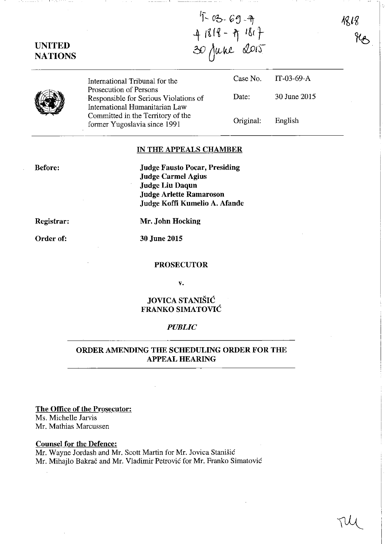$1818$ 

# UNITED **NATIONS**

If \_\_ *ob-* G ~--'it i Itf~ -1'f Ikt- 30 June 2015

**(2)** International Tribunal for the Prosecution of Persons Responsible for Serious Violations of International Humanitarian Law Committed in the Territory of the former Yugoslavia since 1991 Case No. Date: Original: IT-03-69-A 30 June 2015 English

------------- -------------- -I = \_\_\_\_\_\_\_\_\_\_\_\_\_ \_

### IN THE APPEALS CHAMBER

Before:

Judge Fausto Pocar, Presiding Judge Carmel Agius Judge Liu Daqun Judge Arlette Ramaroson Judge Koffi Kumelio A. Afande

Registrar:

Order of:

Mr. John Hocking

30 June 2015

#### PROSECUTOR

v.

## JOVICA STANISIC FRANKO SIMATOVIC

#### *PUBLIC*

## ORDER AMENDING THE SCHEDULING ORDER FOR THE APPEAL HEARING

The Office of the Prosecutor:

Ms. Michelle Jarvis Mr. Mathias Marcussen

Counsel for the Defence:

Mr. Wayne Jordash and Mr. Scott Martin for Mr. Jovica Stanisic Mr. Mihajlo Bakrac and Mr. Vladimir Petrovic for Mr. Franko Simatovic